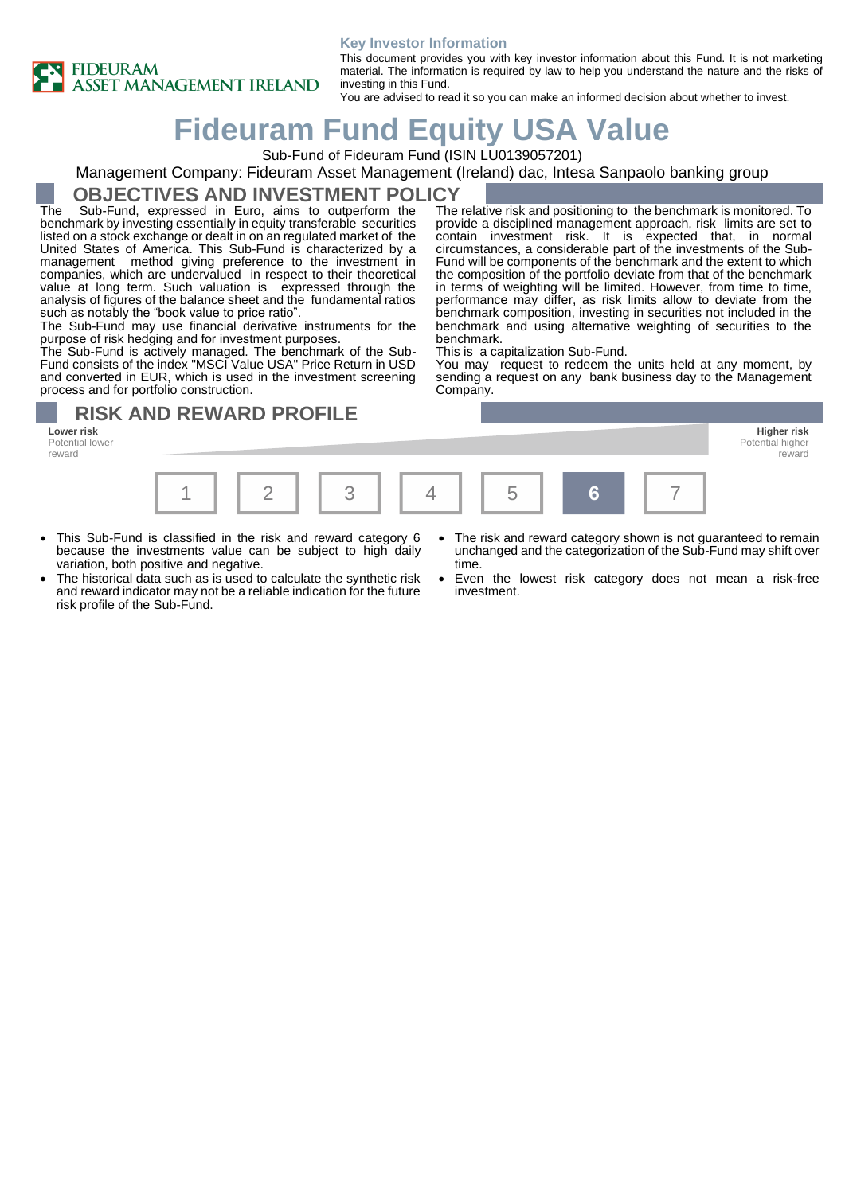

#### **Key Investor Information**

This document provides you with key investor information about this Fund. It is not marketing material. The information is required by law to help you understand the nature and the risks of investing in this Fund.

> The relative risk and positioning to the benchmark is monitored. To provide a disciplined management approach, risk limits are set to contain investment risk. It is expected that, in normal circumstances, a considerable part of the investments of the Sub-Fund will be components of the benchmark and the extent to which the composition of the portfolio deviate from that of the benchmark in terms of weighting will be limited. However, from time to time, performance may differ, as risk limits allow to deviate from the benchmark composition, investing in securities not included in the benchmark and using alternative weighting of securities to the

> You may request to redeem the units held at any moment, by sending a request on any bank business day to the Management

You are advised to read it so you can make an informed decision about whether to invest.

# **Fideuram Fund Equity USA Value**

Sub-Fund of Fideuram Fund (ISIN LU0139057201)

#### Management Company: Fideuram Asset Management (Ireland) dac, Intesa Sanpaolo banking group

### **OBJECTIVES AND INVESTMENT POLICY**

The Sub-Fund, expressed in Euro, aims to outperform the benchmark by investing essentially in equity transferable securities listed on a stock exchange or dealt in on an regulated market of the United States of America. This Sub-Fund is characterized by a management method giving preference to the investment in companies, which are undervalued in respect to their theoretical value at long term. Such valuation is expressed through the analysis of figures of the balance sheet and the fundamental ratios such as notably the "book value to price ratio".

The Sub-Fund may use financial derivative instruments for the purpose of risk hedging and for investment purposes.

The Sub-Fund is actively managed. The benchmark of the Sub-Fund consists of the index "MSCI Value USA" Price Return in USD and converted in EUR, which is used in the investment screening process and for portfolio construction.

**RISK AND REWARD PROFILE**

**Lower risk Higher risk** Potential lower reward



benchmark.

Company.

This is a capitalization Sub-Fund.

- This Sub-Fund is classified in the risk and reward category 6 because the investments value can be subject to high daily variation, both positive and negative.
- The historical data such as is used to calculate the synthetic risk and reward indicator may not be a reliable indication for the future risk profile of the Sub-Fund.
- The risk and reward category shown is not guaranteed to remain unchanged and the categorization of the Sub-Fund may shift over time.
- Even the lowest risk category does not mean a risk-free investment.